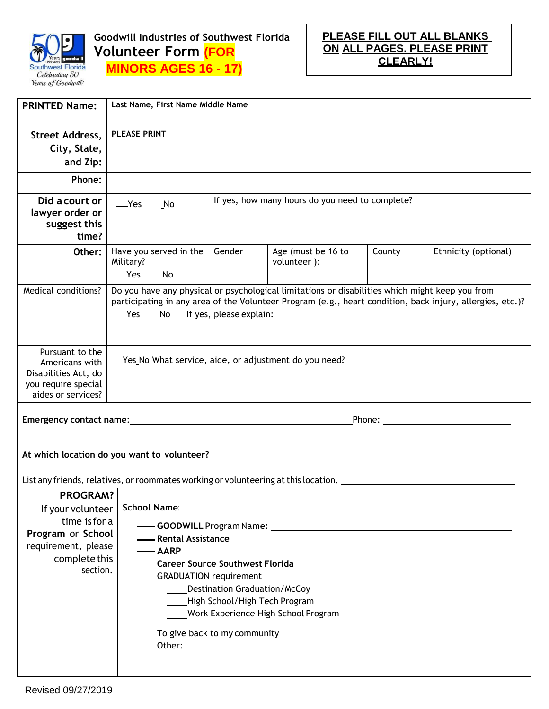

**Goodwill Industries of Southwest Florida Volunteer Form (FOR MINORS AGES 16 - 17)**

**PLEASE FILL OUT ALL BLANKS ON ALL PAGES. PLEASE PRINT CLEARLY!**

| <b>PRINTED Name:</b>                                                                                   | Last Name, First Name Middle Name                                                                                                                                                                                                              |        |                                                                                                                       |        |                      |
|--------------------------------------------------------------------------------------------------------|------------------------------------------------------------------------------------------------------------------------------------------------------------------------------------------------------------------------------------------------|--------|-----------------------------------------------------------------------------------------------------------------------|--------|----------------------|
| Street Address,<br>City, State,                                                                        | <b>PLEASE PRINT</b>                                                                                                                                                                                                                            |        |                                                                                                                       |        |                      |
| and Zip:<br>Phone:                                                                                     |                                                                                                                                                                                                                                                |        |                                                                                                                       |        |                      |
|                                                                                                        |                                                                                                                                                                                                                                                |        |                                                                                                                       |        |                      |
| Did a court or<br>lawyer order or<br>suggest this<br>time?                                             | —Yes<br>No                                                                                                                                                                                                                                     |        | If yes, how many hours do you need to complete?                                                                       |        |                      |
| Other:                                                                                                 | Have you served in the<br>Military?<br>Yes No                                                                                                                                                                                                  | Gender | Age (must be 16 to<br>volunteer ):                                                                                    | County | Ethnicity (optional) |
| Medical conditions?                                                                                    | Do you have any physical or psychological limitations or disabilities which might keep you from<br>participating in any area of the Volunteer Program (e.g., heart condition, back injury, allergies, etc.)?<br>Yes No If yes, please explain: |        |                                                                                                                       |        |                      |
| Pursuant to the<br>Americans with<br>Disabilities Act, do<br>you require special<br>aides or services? | Yes No What service, aide, or adjustment do you need?                                                                                                                                                                                          |        |                                                                                                                       |        |                      |
|                                                                                                        |                                                                                                                                                                                                                                                |        |                                                                                                                       |        |                      |
| List any friends, relatives, or roommates working or volunteering at this location. _                  |                                                                                                                                                                                                                                                |        |                                                                                                                       |        |                      |
| <b>PROGRAM?</b>                                                                                        |                                                                                                                                                                                                                                                |        |                                                                                                                       |        |                      |
| If your volunteer                                                                                      | School Name:                                                                                                                                                                                                                                   |        | <u> 1989 - Johann John Stein, markin sanadi a shekara 1980 - An tsa a shekara 1980 - An tsa a shekara 1980 - An t</u> |        |                      |
| time is for a                                                                                          |                                                                                                                                                                                                                                                |        |                                                                                                                       |        |                      |
| Program or School                                                                                      | - Rental Assistance                                                                                                                                                                                                                            |        |                                                                                                                       |        |                      |
| requirement, please<br>complete this                                                                   | <b>AARP</b>                                                                                                                                                                                                                                    |        |                                                                                                                       |        |                      |
| section.                                                                                               | - Career Source Southwest Florida                                                                                                                                                                                                              |        |                                                                                                                       |        |                      |
|                                                                                                        | - GRADUATION requirement                                                                                                                                                                                                                       |        |                                                                                                                       |        |                      |
|                                                                                                        | <b>Destination Graduation/McCoy</b><br>High School/High Tech Program                                                                                                                                                                           |        |                                                                                                                       |        |                      |
|                                                                                                        | Work Experience High School Program                                                                                                                                                                                                            |        |                                                                                                                       |        |                      |
|                                                                                                        |                                                                                                                                                                                                                                                |        |                                                                                                                       |        |                      |
|                                                                                                        | To give back to my community                                                                                                                                                                                                                   |        |                                                                                                                       |        |                      |
|                                                                                                        |                                                                                                                                                                                                                                                |        |                                                                                                                       |        |                      |
|                                                                                                        |                                                                                                                                                                                                                                                |        |                                                                                                                       |        |                      |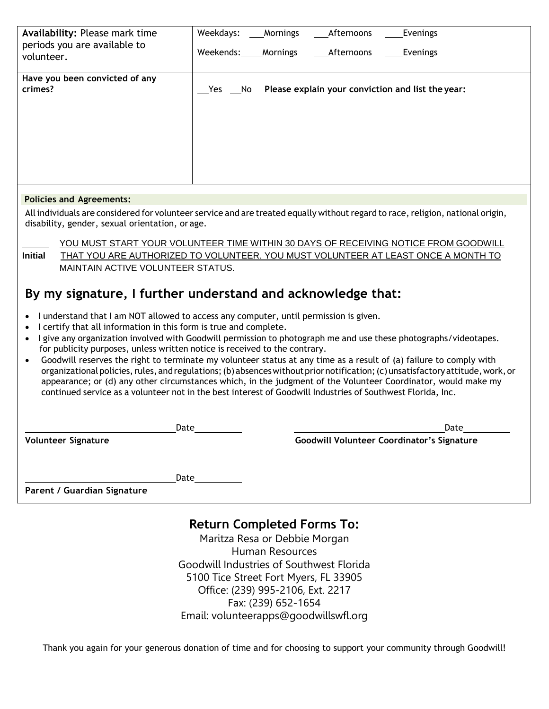| Availability: Please mark time<br>periods you are available to<br>volunteer. | Weekdays:<br>Mornings<br>Afternoons<br>Evenings<br>Weekends:<br>Mornings<br>Afternoons<br>Evenings |
|------------------------------------------------------------------------------|----------------------------------------------------------------------------------------------------|
| Have you been convicted of any<br>crimes?                                    | Please explain your conviction and list the year:<br>Yes<br>No                                     |
| <b>B</b> detection and the annual service of the                             |                                                                                                    |

#### **Policies and Agreements:**

All individuals are considered for volunteer service and are treated equally without regard to race, religion, national origin, disability, gender, sexual orientation, or age.

YOU MUST START YOUR VOLUNTEER TIME WITHIN 30 DAYS OF RECEIVING NOTICE FROM GOODWILL **Initial** THAT YOU ARE AUTHORIZED TO VOLUNTEER. YOU MUST VOLUNTEER AT LEAST ONCE A MONTH TO MAINTAIN ACTIVE VOLUNTEER STATUS.

# **By my signature, I further understand and acknowledge that:**

- I understand that I am NOT allowed to access any computer, until permission is given.
- I certify that all information in this form is true and complete.
- I give any organization involved with Goodwill permission to photograph me and use these photographs/videotapes. for publicity purposes, unless written notice is received to the contrary.
- Goodwill reserves the right to terminate my volunteer status at any time as a result of (a) failure to comply with organizational policies, rules, and regulations; (b) absences without prior notification; (c) unsatisfactory attitude, work, or appearance; or (d) any other circumstances which, in the judgment of the Volunteer Coordinator, would make my continued service as a volunteer not in the best interest of Goodwill Industries of Southwest Florida, Inc.

|                             | Date | Date                                              |
|-----------------------------|------|---------------------------------------------------|
| <b>Volunteer Signature</b>  |      | <b>Goodwill Volunteer Coordinator's Signature</b> |
|                             |      |                                                   |
|                             | Date |                                                   |
| Parent / Guardian Signature |      |                                                   |

# **Return Completed Forms To:**

Maritza Resa or Debbie Morgan Human Resources Goodwill Industries of Southwest Florida 5100 Tice Street Fort Myers, FL 33905 Office: (239) 995-2106, Ext. 2217 Fax: (239) 652-1654 Email: volunteerapps@goodwillswfl.org

Thank you again for your generous donation of time and for choosing to support your community through Goodwill!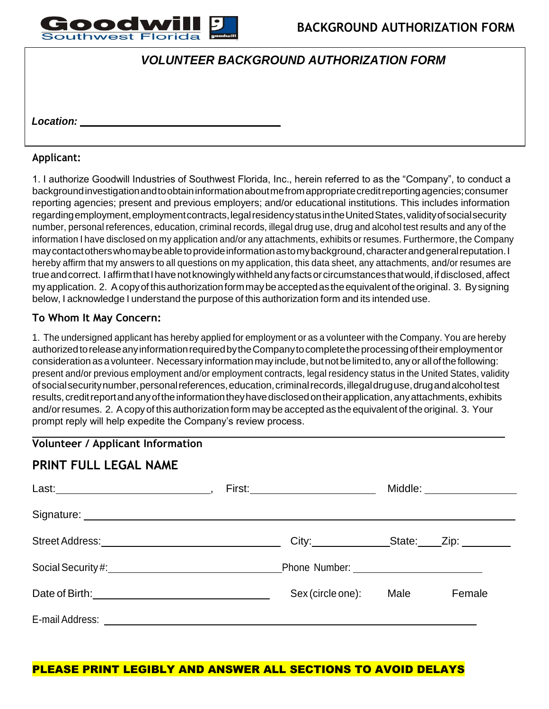

# *VOLUNTEER BACKGROUND AUTHORIZATION FORM*

*Location:*

#### **Applicant:**

1. I authorize Goodwill Industries of Southwest Florida, Inc., herein referred to as the "Company", to conduct a backgroundinvestigationandtoobtaininformationaboutmefromappropriatecreditreportingagencies;consumer reporting agencies; present and previous employers; and/or educational institutions. This includes information regardingemployment,employmentcontracts,legalresidencystatusintheUnitedStates,validityofsocialsecurity number, personal references, education, criminal records, illegal drug use, drug and alcohol test results and any of the information I have disclosed on my application and/or any attachments, exhibits or resumes. Furthermore, the Company may contact others who may be able to provide information as to my background, character and general reputation. I hereby affirm that my answers to all questions on my application, this data sheet, any attachments, and/or resumes are true and correct. I affirm that I have not knowingly withheld any facts or circumstances that would, if disclosed, affect my application. 2. A copy of this authorization form may be accepted as the equivalent of the original. 3. By signing below, I acknowledge I understand the purpose of this authorization form and its intended use.

#### **To Whom It May Concern:**

1. The undersigned applicant has hereby applied for employment or as a volunteer with the Company. You are hereby authorized to release any information required by the Company to complete the processing of their employment or consideration as a volunteer. Necessary information may include, but not be limited to, any or all of the following: present and/or previous employment and/or employment contracts, legal residency status in the United States, validity of social security number, personal references, education, criminal records, illegal druguse, drugandalcoholtest results, credit report and any of the information they have disclosed on their application, any attachments, exhibits and/or resumes. 2. A copy of this authorization form may be accepted as the equivalent of the original. 3. Your prompt reply will help expedite the Company's review process.

#### **Volunteer / Applicant Information**

## **PRINT FULL LEGAL NAME**

|                   |      | Middle: ________________ |
|-------------------|------|--------------------------|
|                   |      |                          |
| City: State: Zip: |      |                          |
|                   |      |                          |
| Sex (circle one): | Male | Female                   |
|                   |      |                          |

### PLEASE PRINT LEGIBLY AND ANSWER ALL SECTIONS TO AVOID DELAYS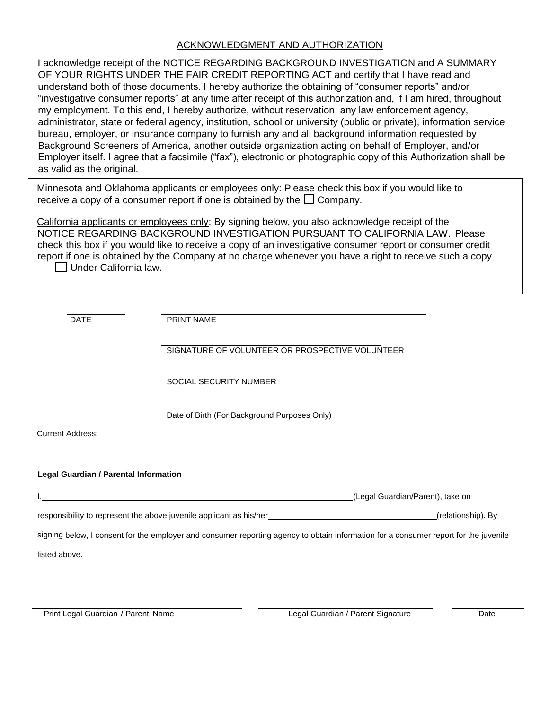#### ACKNOWLEDGMENT AND AUTHORIZATION

I acknowledge receipt of the NOTICE REGARDING BACKGROUND INVESTIGATION and A SUMMARY OF YOUR RIGHTS UNDER THE FAIR CREDIT REPORTING ACT and certify that I have read and understand both of those documents. I hereby authorize the obtaining of "consumer reports" and/or "investigative consumer reports" at any time after receipt of this authorization and, if I am hired, throughout my employment. To this end, I hereby authorize, without reservation, any law enforcement agency, administrator, state or federal agency, institution, school or university (public or private), information service bureau, employer, or insurance company to furnish any and all background information requested by Background Screeners of America, another outside organization acting on behalf of Employer, and/or Employer itself. I agree that a facsimile ("fax"), electronic or photographic copy of this Authorization shall be as valid as the original.

Minnesota and Oklahoma applicants or employees only: Please check this box if you would like to receive a copy of a consumer report if one is obtained by the  $\Box$  Company.

California applicants or employees only: By signing below, you also acknowledge receipt of the NOTICE REGARDING BACKGROUND INVESTIGATION PURSUANT TO CALIFORNIA LAW. Please check this box if you would like to receive a copy of an investigative consumer report or consumer credit report if one is obtained by the Company at no charge whenever you have a right to receive such a copy Under California law.

DATE PRINT NAME

SIGNATURE OF VOLUNTEER OR PROSPECTIVE VOLUNTEER

SOCIAL SECURITY NUMBER

Date of Birth (For Background Purposes Only)

Current Address:

#### **Legal Guardian / Parental Information**

|                                                                                                                                      | (Legal Guardian/Parent), take on |
|--------------------------------------------------------------------------------------------------------------------------------------|----------------------------------|
| responsibility to represent the above juvenile applicant as his/her                                                                  | (relationship). By               |
| signing below, I consent for the employer and consumer reporting agency to obtain information for a consumer report for the juvenile |                                  |
| listed above.                                                                                                                        |                                  |

Print Legal Guardian / Parent Name Legal Guardian / Parent Signature Date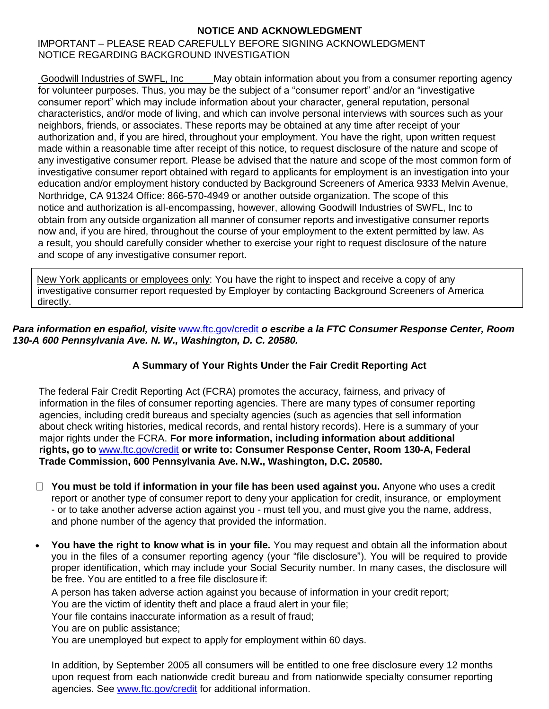#### **NOTICE AND ACKNOWLEDGMENT**

#### IMPORTANT – PLEASE READ CAREFULLY BEFORE SIGNING ACKNOWLEDGMENT NOTICE REGARDING BACKGROUND INVESTIGATION

Goodwill Industries of SWFL, Inc May obtain information about you from a consumer reporting agency for volunteer purposes. Thus, you may be the subject of a "consumer report" and/or an "investigative consumer report" which may include information about your character, general reputation, personal characteristics, and/or mode of living, and which can involve personal interviews with sources such as your neighbors, friends, or associates. These reports may be obtained at any time after receipt of your authorization and, if you are hired, throughout your employment. You have the right, upon written request made within a reasonable time after receipt of this notice, to request disclosure of the nature and scope of any investigative consumer report. Please be advised that the nature and scope of the most common form of investigative consumer report obtained with regard to applicants for employment is an investigation into your education and/or employment history conducted by Background Screeners of America 9333 Melvin Avenue, Northridge, CA 91324 Office: 866-570-4949 or another outside organization. The scope of this notice and authorization is all-encompassing, however, allowing Goodwill Industries of SWFL, Inc to obtain from any outside organization all manner of consumer reports and investigative consumer reports now and, if you are hired, throughout the course of your employment to the extent permitted by law. As a result, you should carefully consider whether to exercise your right to request disclosure of the nature and scope of any investigative consumer report.

New York applicants or employees only: You have the right to inspect and receive a copy of any investigative consumer report requested by Employer by contacting Background Screeners of America directly.

#### *Para information en español, visite* [www.ftc.gov/credit](http://www.ftc.gov/credit) *o escribe a la FTC Consumer Response Center, Room 130-A 600 Pennsylvania Ave. N. W., Washington, D. C. 20580.*

### **A Summary of Your Rights Under the Fair Credit Reporting Act**

The federal Fair Credit Reporting Act (FCRA) promotes the accuracy, fairness, and privacy of information in the files of consumer reporting agencies. There are many types of consumer reporting agencies, including credit bureaus and specialty agencies (such as agencies that sell information about check writing histories, medical records, and rental history records). Here is a summary of your major rights under the FCRA. **For more information, including information about additional rights, go to** [www.ftc.gov/credit](http://www.ftc.gov/credit) **or write to: Consumer Response Center, Room 130-A, Federal Trade Commission, 600 Pennsylvania Ave. N.W., Washington, D.C. 20580.**

- **You must be told if information in your file has been used against you.** Anyone who uses a credit report or another type of consumer report to deny your application for credit, insurance, or employment - or to take another adverse action against you - must tell you, and must give you the name, address, and phone number of the agency that provided the information.
- **You have the right to know what is in your file.** You may request and obtain all the information about you in the files of a consumer reporting agency (your "file disclosure"). You will be required to provide proper identification, which may include your Social Security number. In many cases, the disclosure will be free. You are entitled to a free file disclosure if:

A person has taken adverse action against you because of information in your credit report;

You are the victim of identity theft and place a fraud alert in your file;

Your file contains inaccurate information as a result of fraud;

You are on public assistance;

You are unemployed but expect to apply for employment within 60 days.

In addition, by September 2005 all consumers will be entitled to one free disclosure every 12 months upon request from each nationwide credit bureau and from nationwide specialty consumer reporting agencies. See [www.ftc.gov/credit](http://www.ftc.gov/credit) for additional information.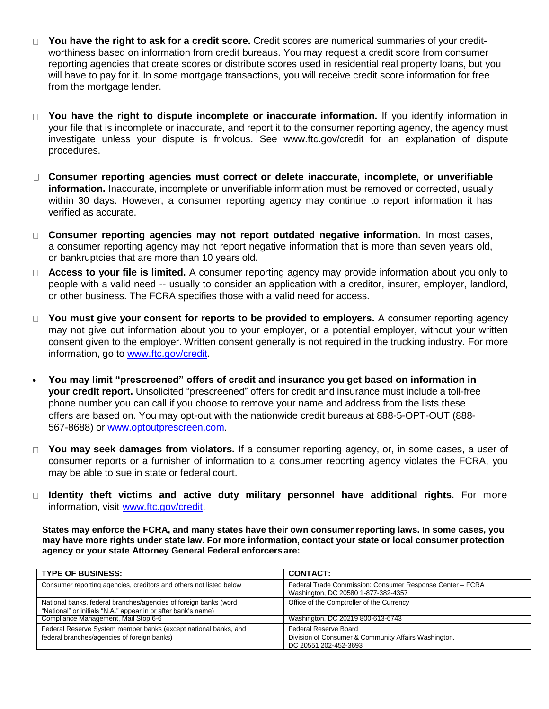- **You have the right to ask for a credit score.** Credit scores are numerical summaries of your credit- $\Box$ worthiness based on information from credit bureaus. You may request a credit score from consumer reporting agencies that create scores or distribute scores used in residential real property loans, but you will have to pay for it. In some mortgage transactions, you will receive credit score information for free from the mortgage lender.
- **You have the right to dispute incomplete or inaccurate information.** If you identify information in your file that is incomplete or inaccurate, and report it to the consumer reporting agency, the agency must investigate unless your dispute is frivolous. See [www.ftc.gov/credit](http://www.ftc.gov/credit) for an explanation of dispute procedures.
- **Consumer reporting agencies must correct or delete inaccurate, incomplete, or unverifiable information.** Inaccurate, incomplete or unverifiable information must be removed or corrected, usually within 30 days. However, a consumer reporting agency may continue to report information it has verified as accurate.
- **Consumer reporting agencies may not report outdated negative information.** In most cases, a consumer reporting agency may not report negative information that is more than seven years old, or bankruptcies that are more than 10 years old.
- **Access to your file is limited.** A consumer reporting agency may provide information about you only to people with a valid need -- usually to consider an application with a creditor, insurer, employer, landlord, or other business. The FCRA specifies those with a valid need for access.
- □ You must give your consent for reports to be provided to employers. A consumer reporting agency may not give out information about you to your employer, or a potential employer, without your written consent given to the employer. Written consent generally is not required in the trucking industry. For more information, go to [www.ftc.gov/credit.](http://www.ftc.gov/credit)
- **You may limit "prescreened" offers of credit and insurance you get based on information in your credit report.** Unsolicited "prescreened" offers for credit and insurance must include a toll-free phone number you can call if you choose to remove your name and address from the lists these offers are based on. You may opt-out with the nationwide credit bureaus at 888-5-OPT-OUT (888- 567-8688) or [www.optoutprescreen.com.](http://www.optoutprescreen.com/)
- **You may seek damages from violators.** If a consumer reporting agency, or, in some cases, a user of consumer reports or a furnisher of information to a consumer reporting agency violates the FCRA, you may be able to sue in state or federal court.
- **Identity theft victims and active duty military personnel have additional rights.** For more  $\Box$ information, visit [www.ftc.gov/credit.](http://www.ftc.gov/credit)

States may enforce the FCRA, and many states have their own consumer reporting laws. In some cases, you may have more rights under state law. For more information, contact your state or local consumer protection **agency or your state Attorney General Federal enforcersare:**

| <b>TYPE OF BUSINESS:</b>                                                                                                          | <b>CONTACT:</b>                                                                                        |
|-----------------------------------------------------------------------------------------------------------------------------------|--------------------------------------------------------------------------------------------------------|
| Consumer reporting agencies, creditors and others not listed below                                                                | Federal Trade Commission: Consumer Response Center - FCRA<br>Washington, DC 20580 1-877-382-4357       |
| National banks, federal branches/agencies of foreign banks (word<br>"National" or initials "N.A." appear in or after bank's name) | Office of the Comptroller of the Currency                                                              |
| Compliance Management, Mail Stop 6-6                                                                                              | Washington, DC 20219 800-613-6743                                                                      |
| Federal Reserve System member banks (except national banks, and<br>federal branches/agencies of foreign banks)                    | Federal Reserve Board<br>Division of Consumer & Community Affairs Washington,<br>DC 20551 202-452-3693 |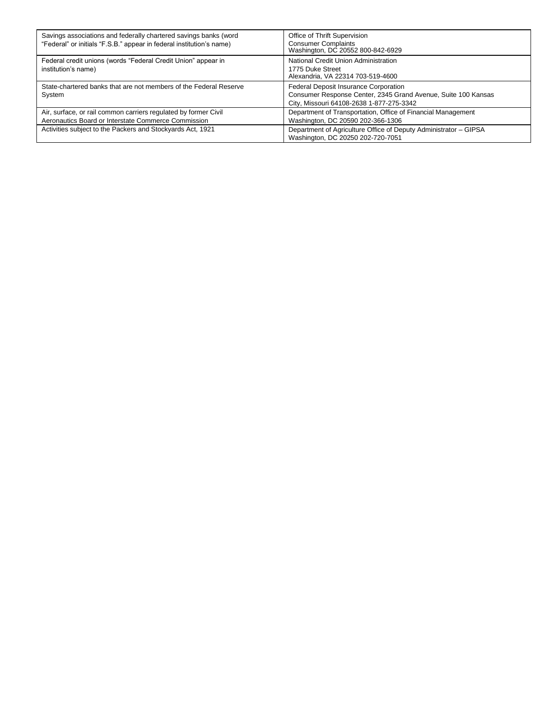| Savings associations and federally chartered savings banks (word<br>"Federal" or initials "F.S.B." appear in federal institution's name) | Office of Thrift Supervision<br><b>Consumer Complaints</b><br>Washington, DC 20552 800-842-6929                                                    |
|------------------------------------------------------------------------------------------------------------------------------------------|----------------------------------------------------------------------------------------------------------------------------------------------------|
| Federal credit unions (words "Federal Credit Union" appear in<br>institution's name)                                                     | National Credit Union Administration<br>1775 Duke Street<br>Alexandria, VA 22314 703-519-4600                                                      |
| State-chartered banks that are not members of the Federal Reserve<br>System                                                              | Federal Deposit Insurance Corporation<br>Consumer Response Center, 2345 Grand Avenue, Suite 100 Kansas<br>City, Missouri 64108-2638 1-877-275-3342 |
| Air, surface, or rail common carriers regulated by former Civil<br>Aeronautics Board or Interstate Commerce Commission                   | Department of Transportation, Office of Financial Management<br>Washington, DC 20590 202-366-1306                                                  |
| Activities subject to the Packers and Stockyards Act, 1921                                                                               | Department of Agriculture Office of Deputy Administrator - GIPSA<br>Washington, DC 20250 202-720-7051                                              |